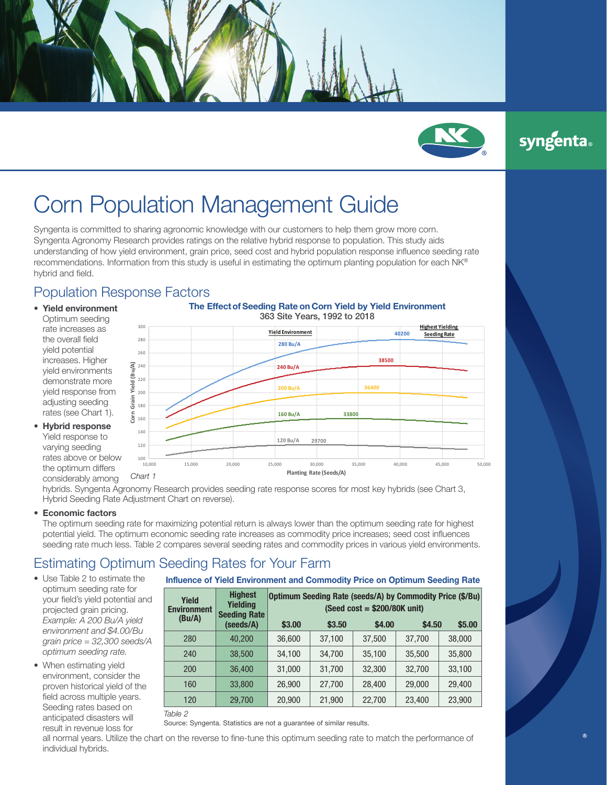

syngenta®

# Corn Population Management Guide

Syngenta is committed to sharing agronomic knowledge with our customers to help them grow more corn. Syngenta Agronomy Research provides ratings on the relative hybrid response to population. This study aids understanding of how yield environment, grain price, seed cost and hybrid population response influence seeding rate recommendations. Information from this study is useful in estimating the optimum planting population for each NK® hybrid and field.

## Population Response Factors

- **Yield environment** Optimum seeding rate increases as the overall field yield potential increases. Higher yield environments demonstrate more yield response from adjusting seeding rates (see Chart 1).
- **Hybrid response** Yield response to varying seeding rates above or below the optimum differs considerably among

#### **The Effect of Seeding Rate on Corn Yield by Yield Environment** 363 Site Years, 1992 to 2018 363 Site Years, 1992 to 2018



hybrids. Syngenta Agronomy Research provides seeding rate response scores for most key hybrids (see Chart 3, Hybrid Seeding Rate Adjustment Chart on reverse).

### • **Economic factors**

The optimum seeding rate for maximizing potential return is always lower than the optimum seeding rate for highest potential yield. The optimum economic seeding rate increases as commodity price increases; seed cost influences seeding rate much less. Table 2 compares several seeding rates and commodity prices in various yield environments.

# Estimating Optimum Seeding Rates for Your Farm

- Use Table 2 to estimate the optimum seeding rate for your field's yield potential and projected grain pricing. *Example: A 200 Bu/A yield environment and \$4.00/Bu grain price = 32,300 seeds/A optimum seeding rate.*
- When estimating yield environment, consider the proven historical yield of the field across multiple years. Seeding rates based on anticipated disasters will result in revenue loss for

### **Influence of Yield Environment and Commodity Price on Optimum Seeding Rate**

| Yield<br><b>Environment</b><br>(Bu/A) |  | <b>Highest</b><br><b>Yielding</b><br><b>Seeding Rate</b> | Optimum Seeding Rate (seeds/A) by Commodity Price (\$/Bu)<br>(Seed cost = $$200/80K$ unit) |        |        |        |        |  |  |  |  |  |
|---------------------------------------|--|----------------------------------------------------------|--------------------------------------------------------------------------------------------|--------|--------|--------|--------|--|--|--|--|--|
|                                       |  | (seeds/A)                                                | \$3,00                                                                                     | \$3.50 | \$4.00 | \$4.50 | \$5.00 |  |  |  |  |  |
| 280                                   |  | 40.200                                                   | 36,600                                                                                     | 37,100 | 37,500 | 37,700 | 38,000 |  |  |  |  |  |
| 240                                   |  | 38,500                                                   | 34,100                                                                                     | 34,700 | 35,100 | 35,500 | 35,800 |  |  |  |  |  |
| 200                                   |  | 36,400                                                   | 31,000                                                                                     | 31,700 | 32,300 | 32,700 | 33,100 |  |  |  |  |  |
| 160                                   |  | 33,800                                                   | 26,900                                                                                     | 27,700 | 28,400 | 29,000 | 29,400 |  |  |  |  |  |
| 120                                   |  | 29,700                                                   | 20,900                                                                                     | 21,900 | 22,700 | 23,400 | 23,900 |  |  |  |  |  |

*Table 2* 

Source: Syngenta. Statistics are not a guarantee of similar results.

all normal years. Utilize the chart on the reverse to fine-tune this optimum seeding rate to match the performance of individual hybrids.